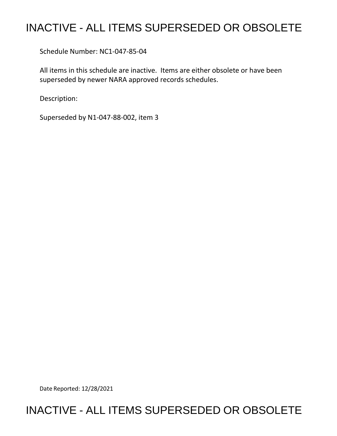## INACTIVE - ALL ITEMS SUPERSEDED OR OBSOLETE

Schedule Number: NC1-047-85-04

 All items in this schedule are inactive. Items are either obsolete or have been superseded by newer NARA approved records schedules.

Description:

Superseded by N1-047-88-002, item 3

Date Reported: 12/28/2021

## INACTIVE - ALL ITEMS SUPERSEDED OR OBSOLETE